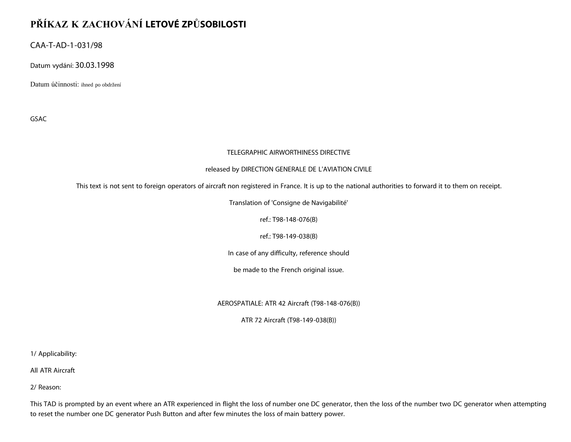## **PŘÍKAZ K ZACHOVÁNÍ LETOVÉ ZPŮSOBILOSTI**

CAA-T-AD-1-031/98

Datum vydání: 30.03.1998

Datum účinnosti: ihned po obdržení

GSAC

## TELEGRAPHIC AIRWORTHINESS DIRECTIVE

## released by DIRECTION GENERALE DE L'AVIATION CIVILE

This text is not sent to foreign operators of aircraft non registered in France. It is up to the national authorities to forward it to them on receipt.

Translation of 'Consigne de Navigabilité'

ref.: T98-148-076(B)

ref.: T98-149-038(B)

In case of any difficulty, reference should

be made to the French original issue.

AEROSPATIALE: ATR 42 Aircraft (T98-148-076(B))

ATR 72 Aircraft (T98-149-038(B))

1/ Applicability:

All ATR Aircraft

2/ Reason:

This TAD is prompted by an event where an ATR experienced in flight the loss of number one DC generator, then the loss of the number two DC generator when attempting to reset the number one DC generator Push Button and after few minutes the loss of main battery power.